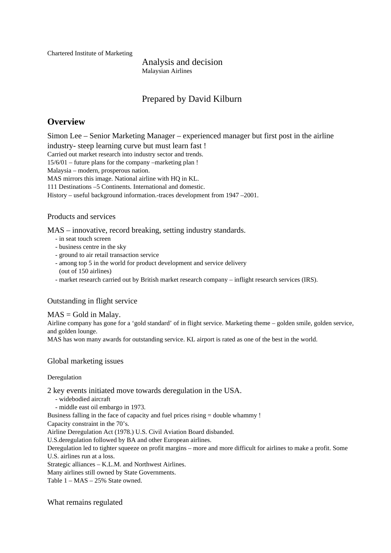Chartered Institute of Marketing

Analysis and decision Malaysian Airlines

# Prepared by David Kilburn

# **Overview**

Simon Lee – Senior Marketing Manager – experienced manager but first post in the airline industry- steep learning curve but must learn fast !

Carried out market research into industry sector and trends.

15/6/01 – future plans for the company –marketing plan !

Malaysia – modern, prosperous nation.

MAS mirrors this image. National airline with HO in KL.

111 Destinations –5 Continents. International and domestic.

History – useful background information.-traces development from 1947 –2001.

### Products and services

MAS – innovative, record breaking, setting industry standards.

- in seat touch screen
- business centre in the sky
- ground to air retail transaction service
- among top 5 in the world for product development and service delivery (out of 150 airlines)
- market research carried out by British market research company inflight research services (IRS).

#### Outstanding in flight service

#### $MAS = Gold$  in Malay.

Airline company has gone for a 'gold standard' of in flight service. Marketing theme – golden smile, golden service, and golden lounge.

MAS has won many awards for outstanding service. KL airport is rated as one of the best in the world.

### Global marketing issues

#### Deregulation

2 key events initiated move towards deregulation in the USA.

- widebodied aircraft

- middle east oil embargo in 1973.

Business falling in the face of capacity and fuel prices rising = double whammy !

Capacity constraint in the 70's.

Airline Deregulation Act (1978.) U.S. Civil Aviation Board disbanded.

U.S.deregulation followed by BA and other European airlines.

Deregulation led to tighter squeeze on profit margins – more and more difficult for airlines to make a profit. Some U.S. airlines run at a loss.

Strategic alliances – K.L.M. and Northwest Airlines.

Many airlines still owned by State Governments.

Table 1 – MAS – 25% State owned.

What remains regulated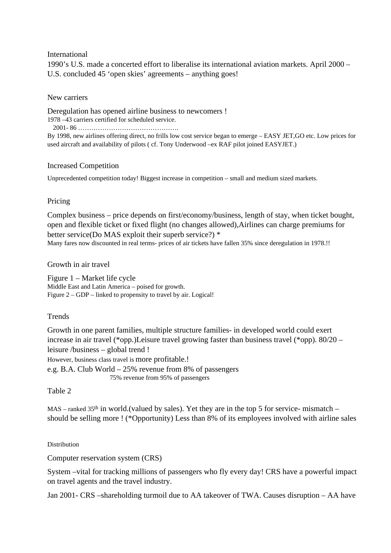### International

1990's U.S. made a concerted effort to liberalise its international aviation markets. April 2000 – U.S. concluded 45 'open skies' agreements – anything goes!

### New carriers

Deregulation has opened airline business to newcomers ! 1978 –43 carriers certified for scheduled service.

2001- 86 ……………………………………….

By 1998, new airlines offering direct, no frills low cost service began to emerge – EASY JET,GO etc. Low prices for used aircraft and availability of pilots ( cf. Tony Underwood –ex RAF pilot joined EASYJET.)

### Increased Competition

Unprecedented competition today! Biggest increase in competition – small and medium sized markets.

### Pricing

Complex business – price depends on first/economy/business, length of stay, when ticket bought, open and flexible ticket or fixed flight (no changes allowed),Airlines can charge premiums for better service(Do MAS exploit their superb service?) \* Many fares now discounted in real terms- prices of air tickets have fallen 35% since deregulation in 1978.!!

### Growth in air travel

Figure 1 – Market life cycle Middle East and Latin America – poised for growth. Figure 2 – GDP – linked to propensity to travel by air. Logical!

### **Trends**

Growth in one parent families, multiple structure families- in developed world could exert increase in air travel (\*opp.)Leisure travel growing faster than business travel (\*opp). 80/20 – leisure /business – global trend ! However, business class travel is more profitable.! e.g. B.A. Club World – 25% revenue from 8% of passengers 75% revenue from 95% of passengers

### Table 2

MAS – ranked 35<sup>th</sup> in world.(valued by sales). Yet they are in the top 5 for service- mismatch – should be selling more ! (\*Opportunity) Less than 8% of its employees involved with airline sales

#### Distribution

Computer reservation system (CRS)

System –vital for tracking millions of passengers who fly every day! CRS have a powerful impact on travel agents and the travel industry.

Jan 2001- CRS –shareholding turmoil due to AA takeover of TWA. Causes disruption – AA have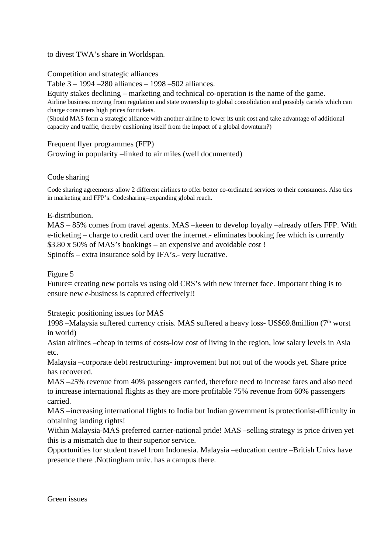to divest TWA's share in Worldspan.

Competition and strategic alliances

Table 3 – 1994 –280 alliances – 1998 –502 alliances.

Equity stakes declining – marketing and technical co-operation is the name of the game. Airline business moving from regulation and state ownership to global consolidation and possibly cartels which can charge consumers high prices for tickets.

(Should MAS form a strategic alliance with another airline to lower its unit cost and take advantage of additional capacity and traffic, thereby cushioning itself from the impact of a global downturn?)

## Frequent flyer programmes (FFP)

Growing in popularity –linked to air miles (well documented)

## Code sharing

Code sharing agreements allow 2 different airlines to offer better co-ordinated services to their consumers. Also ties in marketing and FFP's. Codesharing=expanding global reach.

## E-distribution.

MAS – 85% comes from travel agents. MAS –keeen to develop loyalty –already offers FFP. With e-ticketing – charge to credit card over the internet.- eliminates booking fee which is currently \$3.80 x 50% of MAS's bookings – an expensive and avoidable cost ! Spinoffs – extra insurance sold by IFA's.- very lucrative.

Figure 5

Future= creating new portals vs using old CRS's with new internet face. Important thing is to ensure new e-business is captured effectively!!

Strategic positioning issues for MAS

1998 –Malaysia suffered currency crisis. MAS suffered a heavy loss- US\$69.8million (7th worst in world)

Asian airlines –cheap in terms of costs-low cost of living in the region, low salary levels in Asia etc.

Malaysia –corporate debt restructuring- improvement but not out of the woods yet. Share price has recovered.

MAS –25% revenue from 40% passengers carried, therefore need to increase fares and also need to increase international flights as they are more profitable 75% revenue from 60% passengers carried.

MAS –increasing international flights to India but Indian government is protectionist-difficulty in obtaining landing rights!

Within Malaysia-MAS preferred carrier-national pride! MAS –selling strategy is price driven yet this is a mismatch due to their superior service.

Opportunities for student travel from Indonesia. Malaysia –education centre –British Univs have presence there .Nottingham univ. has a campus there.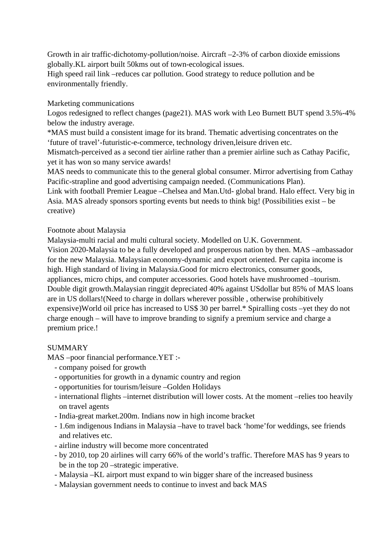Growth in air traffic-dichotomy-pollution/noise. Aircraft –2-3% of carbon dioxide emissions globally.KL airport built 50kms out of town-ecological issues.

High speed rail link –reduces car pollution. Good strategy to reduce pollution and be environmentally friendly.

## Marketing communications

Logos redesigned to reflect changes (page21). MAS work with Leo Burnett BUT spend 3.5%-4% below the industry average.

\*MAS must build a consistent image for its brand. Thematic advertising concentrates on the 'future of travel'-futuristic-e-commerce, technology driven,leisure driven etc.

Mismatch-perceived as a second tier airline rather than a premier airline such as Cathay Pacific, yet it has won so many service awards!

MAS needs to communicate this to the general global consumer. Mirror advertising from Cathay Pacific-strapline and good advertising campaign needed. (Communications Plan).

Link with football Premier League –Chelsea and Man.Utd- global brand. Halo effect. Very big in Asia. MAS already sponsors sporting events but needs to think big! (Possibilities exist – be creative)

## Footnote about Malaysia

Malaysia-multi racial and multi cultural society. Modelled on U.K. Government. Vision 2020-Malaysia to be a fully developed and prosperous nation by then. MAS –ambassador for the new Malaysia. Malaysian economy-dynamic and export oriented. Per capita income is high. High standard of living in Malaysia.Good for micro electronics, consumer goods, appliances, micro chips, and computer accessories. Good hotels have mushroomed –tourism. Double digit growth.Malaysian ringgit depreciated 40% against USdollar but 85% of MAS loans are in US dollars!(Need to charge in dollars wherever possible , otherwise prohibitively expensive)World oil price has increased to US\$ 30 per barrel.\* Spiralling costs –yet they do not charge enough – will have to improve branding to signify a premium service and charge a premium price.!

## SUMMARY

MAS –poor financial performance.YET :-

- company poised for growth
- opportunities for growth in a dynamic country and region
- opportunities for tourism/leisure –Golden Holidays
- international flights –internet distribution will lower costs. At the moment –relies too heavily on travel agents
- India-great market.200m. Indians now in high income bracket
- 1.6m indigenous Indians in Malaysia –have to travel back 'home'for weddings, see friends and relatives etc.
- airline industry will become more concentrated
- by 2010, top 20 airlines will carry 66% of the world's traffic. Therefore MAS has 9 years to be in the top 20 –strategic imperative.
- Malaysia –KL airport must expand to win bigger share of the increased business
- Malaysian government needs to continue to invest and back MAS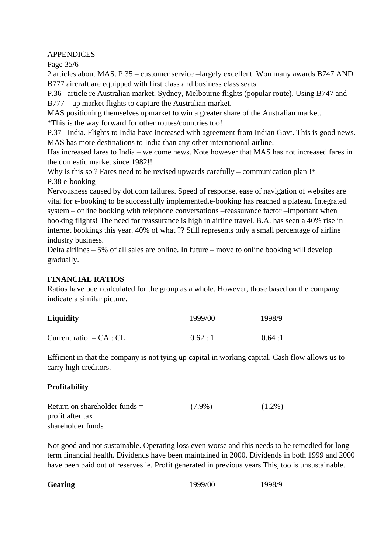APPENDICES

Page 35/6

2 articles about MAS. P.35 – customer service –largely excellent. Won many awards.B747 AND B777 aircraft are equipped with first class and business class seats.

P.36 –article re Australian market. Sydney, Melbourne flights (popular route). Using B747 and B777 – up market flights to capture the Australian market.

MAS positioning themselves upmarket to win a greater share of the Australian market.

\*This is the way forward for other routes/countries too!

P.37 –India. Flights to India have increased with agreement from Indian Govt. This is good news. MAS has more destinations to India than any other international airline.

Has increased fares to India – welcome news. Note however that MAS has not increased fares in the domestic market since 1982!!

Why is this so ? Fares need to be revised upwards carefully – communication plan !\* P.38 e-booking

Nervousness caused by dot.com failures. Speed of response, ease of navigation of websites are vital for e-booking to be successfully implemented.e-booking has reached a plateau. Integrated system – online booking with telephone conversations –reassurance factor –important when booking flights! The need for reassurance is high in airline travel. B.A. has seen a 40% rise in internet bookings this year. 40% of what ?? Still represents only a small percentage of airline industry business.

Delta airlines – 5% of all sales are online. In future – move to online booking will develop gradually.

## **FINANCIAL RATIOS**

Ratios have been calculated for the group as a whole. However, those based on the company indicate a similar picture.

| <b>Liquidity</b>          | 1999/00 | 1998/9 |
|---------------------------|---------|--------|
| Current ratio $= CA : CL$ | 0.62:1  | 0.64:1 |

Efficient in that the company is not tying up capital in working capital. Cash flow allows us to carry high creditors.

## **Profitability**

| Return on shareholder funds $=$ | $(7.9\%)$ | $(1.2\%)$ |
|---------------------------------|-----------|-----------|
| profit after tax                |           |           |
| shareholder funds               |           |           |

Not good and not sustainable. Operating loss even worse and this needs to be remedied for long term financial health. Dividends have been maintained in 2000. Dividends in both 1999 and 2000 have been paid out of reserves ie. Profit generated in previous years.This, too is unsustainable.

| <b>Gearing</b> | 1999/00 | 1998/9 |
|----------------|---------|--------|
|----------------|---------|--------|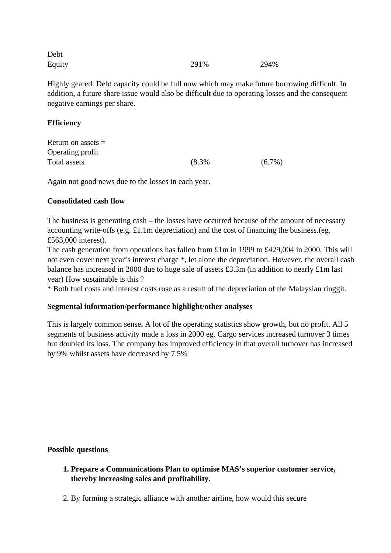| Debt   |      |      |
|--------|------|------|
| Equity | 291% | 294% |

Highly geared. Debt capacity could be full now which may make future borrowing difficult. In addition, a future share issue would also be difficult due to operating losses and the consequent negative earnings per share.

## **Efficiency**

| Return on assets $=$ |       |           |
|----------------------|-------|-----------|
| Operating profit     |       |           |
| Total assets         | (8.3% | $(6.7\%)$ |

Again not good news due to the losses in each year.

## **Consolidated cash flow**

The business is generating cash – the losses have occurred because of the amount of necessary accounting write-offs (e.g. £1.1m depreciation) and the cost of financing the business.(eg. £563,000 interest).

The cash generation from operations has fallen from £1m in 1999 to £429,004 in 2000. This will not even cover next year's interest charge \*, let alone the depreciation. However, the overall cash balance has increased in 2000 due to huge sale of assets £3.3m (in addition to nearly £1m last year) How sustainable is this ?

\* Both fuel costs and interest costs rose as a result of the depreciation of the Malaysian ringgit.

## **Segmental information/performance highlight/other analyses**

This is largely common sense**.** A lot of the operating statistics show growth, but no profit. All 5 segments of business activity made a loss in 2000 eg. Cargo services increased turnover 3 times but doubled its loss. The company has improved efficiency in that overall turnover has increased by 9% whilst assets have decreased by 7.5%

## **Possible questions**

- **1. Prepare a Communications Plan to optimise MAS's superior customer service, thereby increasing sales and profitability.**
- 2. By forming a strategic alliance with another airline, how would this secure